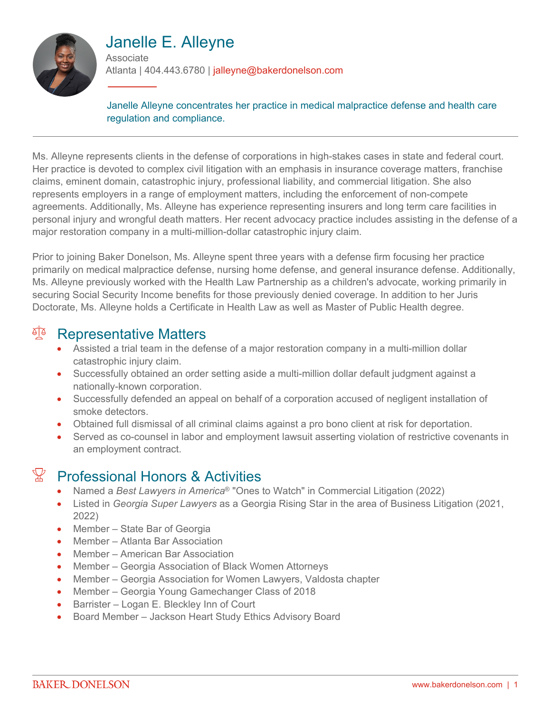

# Janelle E. Alleyne

**Associate** Atlanta | 404.443.6780 | jalleyne@bakerdonelson.com

Janelle Alleyne concentrates her practice in medical malpractice defense and health care regulation and compliance.

Ms. Alleyne represents clients in the defense of corporations in high-stakes cases in state and federal court. Her practice is devoted to complex civil litigation with an emphasis in insurance coverage matters, franchise claims, eminent domain, catastrophic injury, professional liability, and commercial litigation. She also represents employers in a range of employment matters, including the enforcement of non-compete agreements. Additionally, Ms. Alleyne has experience representing insurers and long term care facilities in personal injury and wrongful death matters. Her recent advocacy practice includes assisting in the defense of a major restoration company in a multi-million-dollar catastrophic injury claim.

Prior to joining Baker Donelson, Ms. Alleyne spent three years with a defense firm focusing her practice primarily on medical malpractice defense, nursing home defense, and general insurance defense. Additionally, Ms. Alleyne previously worked with the Health Law Partnership as a children's advocate, working primarily in securing Social Security Income benefits for those previously denied coverage. In addition to her Juris Doctorate, Ms. Alleyne holds a Certificate in Health Law as well as Master of Public Health degree.

### **Representative Matters**

- Assisted a trial team in the defense of a major restoration company in a multi-million dollar catastrophic injury claim.
- Successfully obtained an order setting aside a multi-million dollar default judgment against a nationally-known corporation.
- Successfully defended an appeal on behalf of a corporation accused of negligent installation of smoke detectors.
- Obtained full dismissal of all criminal claims against a pro bono client at risk for deportation.
- Served as co-counsel in labor and employment lawsuit asserting violation of restrictive covenants in an employment contract.

### $\mathbb{R}$  Professional Honors & Activities

- Named a *Best Lawyers in America*® "Ones to Watch" in Commercial Litigation (2022)
- Listed in *Georgia Super Lawyers* as a Georgia Rising Star in the area of Business Litigation (2021, 2022)
- Member State Bar of Georgia
- Member Atlanta Bar Association
- Member American Bar Association
- Member Georgia Association of Black Women Attorneys
- Member Georgia Association for Women Lawyers, Valdosta chapter
- Member Georgia Young Gamechanger Class of 2018
- Barrister Logan E. Bleckley Inn of Court
- Board Member Jackson Heart Study Ethics Advisory Board